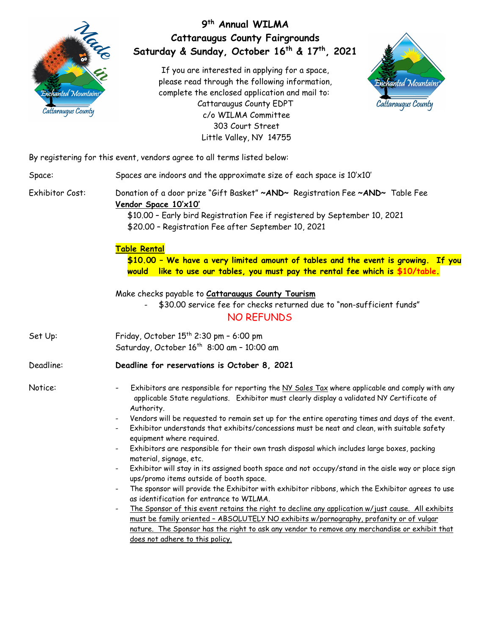

## **9th Annual WILMA Cattaraugus County Fairgrounds Saturday & Sunday, October 16th & 17th, 2021**

If you are interested in applying for a space, please read through the following information, complete the enclosed application and mail to: Cattaraugus County EDPT c/o WILMA Committee 303 Court Street Little Valley, NY 14755



By registering for this event, vendors agree to all terms listed below:

| Space:          | Spaces are indoors and the approximate size of each space is 10'x10'                                                                                                                                                                                                                                                                                        |  |  |  |
|-----------------|-------------------------------------------------------------------------------------------------------------------------------------------------------------------------------------------------------------------------------------------------------------------------------------------------------------------------------------------------------------|--|--|--|
| Exhibitor Cost: | Donation of a door prize "Gift Basket" ~AND~ Registration Fee ~AND~ Table Fee<br>Vendor Space 10'x10'<br>\$10.00 - Early bird Registration Fee if registered by September 10, 2021<br>\$20.00 - Registration Fee after September 10, 2021                                                                                                                   |  |  |  |
|                 | <b>Table Rental</b><br>\$10.00 - We have a very limited amount of tables and the event is growing. If you<br>like to use our tables, you must pay the rental fee which is $$10/table$ .<br>would                                                                                                                                                            |  |  |  |
|                 | Make checks payable to <b>Cattaraugus County Tourism</b><br>\$30.00 service fee for checks returned due to "non-sufficient funds"<br><b>NO REFUNDS</b>                                                                                                                                                                                                      |  |  |  |
| Set Up:         | Friday, October $15th$ 2:30 pm - 6:00 pm<br>Saturday, October 16 <sup>th</sup> 8:00 am - 10:00 am                                                                                                                                                                                                                                                           |  |  |  |
| Deadline:       | Deadline for reservations is October 8, 2021                                                                                                                                                                                                                                                                                                                |  |  |  |
| Notice:         | Exhibitors are responsible for reporting the NY Sales Tax where applicable and comply with any<br>applicable State regulations. Exhibitor must clearly display a validated NY Certificate of<br>Authority.<br>Vendors will be requested to remain set up for the entire operating times and days of the event.                                              |  |  |  |
|                 | Exhibitor understands that exhibits/concessions must be neat and clean, with suitable safety<br>equipment where required.                                                                                                                                                                                                                                   |  |  |  |
|                 | Exhibitors are responsible for their own trash disposal which includes large boxes, packing<br>$\overline{\phantom{a}}$<br>material, signage, etc.                                                                                                                                                                                                          |  |  |  |
|                 | Exhibitor will stay in its assigned booth space and not occupy/stand in the aisle way or place sign<br>$\overline{\phantom{a}}$<br>ups/promo items outside of booth space.                                                                                                                                                                                  |  |  |  |
|                 | The sponsor will provide the Exhibitor with exhibitor ribbons, which the Exhibitor agrees to use<br>$\overline{\phantom{a}}$<br>as identification for entrance to WILMA.                                                                                                                                                                                    |  |  |  |
|                 | The Sponsor of this event retains the right to decline any application w/just cause. All exhibits<br>$\overline{\phantom{a}}$<br>must be family oriented - ABSOLUTELY NO exhibits w/pornography, profanity or of vulgar<br>nature. The Sponsor has the right to ask any vendor to remove any merchandise or exhibit that<br>does not adhere to this policy. |  |  |  |